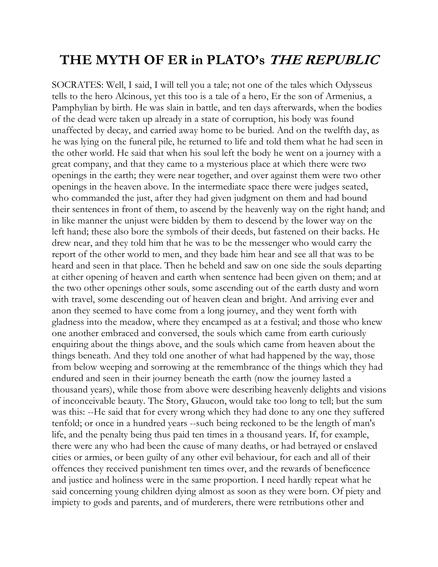## **THE MYTH OF ER in PLATO's THE REPUBLIC**

SOCRATES: Well, I said, I will tell you a tale; not one of the tales which Odysseus tells to the hero Alcinous, yet this too is a tale of a hero, Er the son of Armenius, a Pamphylian by birth. He was slain in battle, and ten days afterwards, when the bodies of the dead were taken up already in a state of corruption, his body was found unaffected by decay, and carried away home to be buried. And on the twelfth day, as he was lying on the funeral pile, he returned to life and told them what he had seen in the other world. He said that when his soul left the body he went on a journey with a great company, and that they came to a mysterious place at which there were two openings in the earth; they were near together, and over against them were two other openings in the heaven above. In the intermediate space there were judges seated, who commanded the just, after they had given judgment on them and had bound their sentences in front of them, to ascend by the heavenly way on the right hand; and in like manner the unjust were bidden by them to descend by the lower way on the left hand; these also bore the symbols of their deeds, but fastened on their backs. He drew near, and they told him that he was to be the messenger who would carry the report of the other world to men, and they bade him hear and see all that was to be heard and seen in that place. Then he beheld and saw on one side the souls departing at either opening of heaven and earth when sentence had been given on them; and at the two other openings other souls, some ascending out of the earth dusty and worn with travel, some descending out of heaven clean and bright. And arriving ever and anon they seemed to have come from a long journey, and they went forth with gladness into the meadow, where they encamped as at a festival; and those who knew one another embraced and conversed, the souls which came from earth curiously enquiring about the things above, and the souls which came from heaven about the things beneath. And they told one another of what had happened by the way, those from below weeping and sorrowing at the remembrance of the things which they had endured and seen in their journey beneath the earth (now the journey lasted a thousand years), while those from above were describing heavenly delights and visions of inconceivable beauty. The Story, Glaucon, would take too long to tell; but the sum was this: --He said that for every wrong which they had done to any one they suffered tenfold; or once in a hundred years --such being reckoned to be the length of man's life, and the penalty being thus paid ten times in a thousand years. If, for example, there were any who had been the cause of many deaths, or had betrayed or enslaved cities or armies, or been guilty of any other evil behaviour, for each and all of their offences they received punishment ten times over, and the rewards of beneficence and justice and holiness were in the same proportion. I need hardly repeat what he said concerning young children dying almost as soon as they were born. Of piety and impiety to gods and parents, and of murderers, there were retributions other and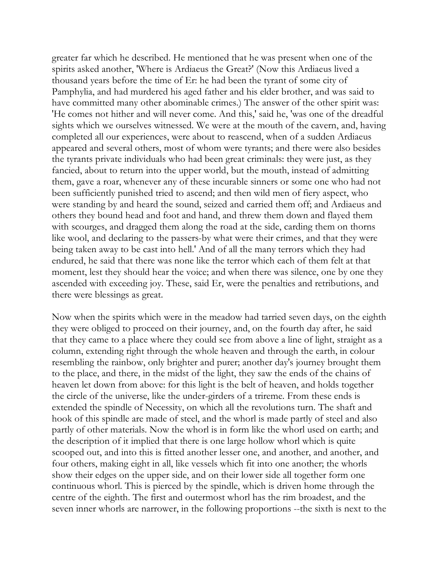greater far which he described. He mentioned that he was present when one of the spirits asked another, 'Where is Ardiaeus the Great?' (Now this Ardiaeus lived a thousand years before the time of Er: he had been the tyrant of some city of Pamphylia, and had murdered his aged father and his elder brother, and was said to have committed many other abominable crimes.) The answer of the other spirit was: 'He comes not hither and will never come. And this,' said he, 'was one of the dreadful sights which we ourselves witnessed. We were at the mouth of the cavern, and, having completed all our experiences, were about to reascend, when of a sudden Ardiaeus appeared and several others, most of whom were tyrants; and there were also besides the tyrants private individuals who had been great criminals: they were just, as they fancied, about to return into the upper world, but the mouth, instead of admitting them, gave a roar, whenever any of these incurable sinners or some one who had not been sufficiently punished tried to ascend; and then wild men of fiery aspect, who were standing by and heard the sound, seized and carried them off; and Ardiaeus and others they bound head and foot and hand, and threw them down and flayed them with scourges, and dragged them along the road at the side, carding them on thorns like wool, and declaring to the passers-by what were their crimes, and that they were being taken away to be cast into hell.' And of all the many terrors which they had endured, he said that there was none like the terror which each of them felt at that moment, lest they should hear the voice; and when there was silence, one by one they ascended with exceeding joy. These, said Er, were the penalties and retributions, and there were blessings as great.

Now when the spirits which were in the meadow had tarried seven days, on the eighth they were obliged to proceed on their journey, and, on the fourth day after, he said that they came to a place where they could see from above a line of light, straight as a column, extending right through the whole heaven and through the earth, in colour resembling the rainbow, only brighter and purer; another day's journey brought them to the place, and there, in the midst of the light, they saw the ends of the chains of heaven let down from above: for this light is the belt of heaven, and holds together the circle of the universe, like the under-girders of a trireme. From these ends is extended the spindle of Necessity, on which all the revolutions turn. The shaft and hook of this spindle are made of steel, and the whorl is made partly of steel and also partly of other materials. Now the whorl is in form like the whorl used on earth; and the description of it implied that there is one large hollow whorl which is quite scooped out, and into this is fitted another lesser one, and another, and another, and four others, making eight in all, like vessels which fit into one another; the whorls show their edges on the upper side, and on their lower side all together form one continuous whorl. This is pierced by the spindle, which is driven home through the centre of the eighth. The first and outermost whorl has the rim broadest, and the seven inner whorls are narrower, in the following proportions --the sixth is next to the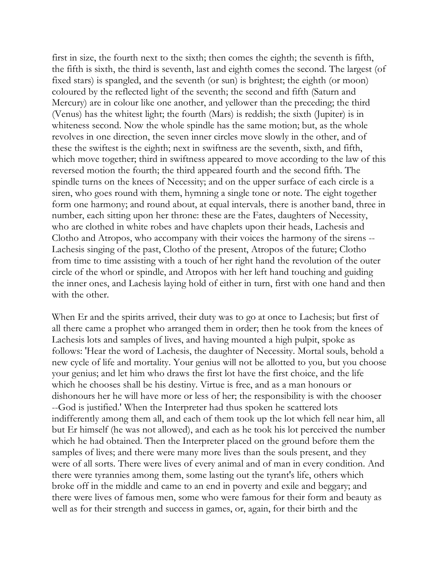first in size, the fourth next to the sixth; then comes the eighth; the seventh is fifth, the fifth is sixth, the third is seventh, last and eighth comes the second. The largest (of fixed stars) is spangled, and the seventh (or sun) is brightest; the eighth (or moon) coloured by the reflected light of the seventh; the second and fifth (Saturn and Mercury) are in colour like one another, and yellower than the preceding; the third (Venus) has the whitest light; the fourth (Mars) is reddish; the sixth (Jupiter) is in whiteness second. Now the whole spindle has the same motion; but, as the whole revolves in one direction, the seven inner circles move slowly in the other, and of these the swiftest is the eighth; next in swiftness are the seventh, sixth, and fifth, which move together; third in swiftness appeared to move according to the law of this reversed motion the fourth; the third appeared fourth and the second fifth. The spindle turns on the knees of Necessity; and on the upper surface of each circle is a siren, who goes round with them, hymning a single tone or note. The eight together form one harmony; and round about, at equal intervals, there is another band, three in number, each sitting upon her throne: these are the Fates, daughters of Necessity, who are clothed in white robes and have chaplets upon their heads, Lachesis and Clotho and Atropos, who accompany with their voices the harmony of the sirens -- Lachesis singing of the past, Clotho of the present, Atropos of the future; Clotho from time to time assisting with a touch of her right hand the revolution of the outer circle of the whorl or spindle, and Atropos with her left hand touching and guiding the inner ones, and Lachesis laying hold of either in turn, first with one hand and then with the other.

When Er and the spirits arrived, their duty was to go at once to Lachesis; but first of all there came a prophet who arranged them in order; then he took from the knees of Lachesis lots and samples of lives, and having mounted a high pulpit, spoke as follows: 'Hear the word of Lachesis, the daughter of Necessity. Mortal souls, behold a new cycle of life and mortality. Your genius will not be allotted to you, but you choose your genius; and let him who draws the first lot have the first choice, and the life which he chooses shall be his destiny. Virtue is free, and as a man honours or dishonours her he will have more or less of her; the responsibility is with the chooser --God is justified.' When the Interpreter had thus spoken he scattered lots indifferently among them all, and each of them took up the lot which fell near him, all but Er himself (he was not allowed), and each as he took his lot perceived the number which he had obtained. Then the Interpreter placed on the ground before them the samples of lives; and there were many more lives than the souls present, and they were of all sorts. There were lives of every animal and of man in every condition. And there were tyrannies among them, some lasting out the tyrant's life, others which broke off in the middle and came to an end in poverty and exile and beggary; and there were lives of famous men, some who were famous for their form and beauty as well as for their strength and success in games, or, again, for their birth and the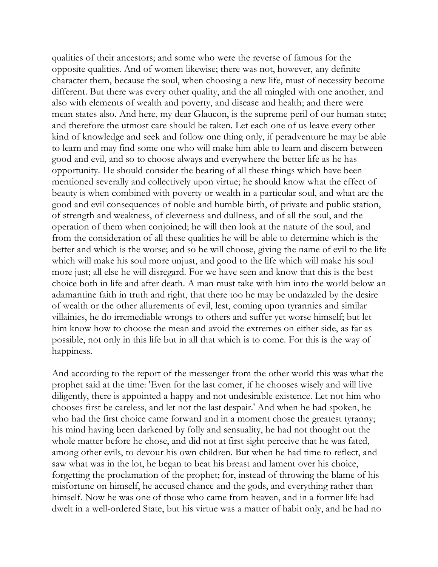qualities of their ancestors; and some who were the reverse of famous for the opposite qualities. And of women likewise; there was not, however, any definite character them, because the soul, when choosing a new life, must of necessity become different. But there was every other quality, and the all mingled with one another, and also with elements of wealth and poverty, and disease and health; and there were mean states also. And here, my dear Glaucon, is the supreme peril of our human state; and therefore the utmost care should be taken. Let each one of us leave every other kind of knowledge and seek and follow one thing only, if peradventure he may be able to learn and may find some one who will make him able to learn and discern between good and evil, and so to choose always and everywhere the better life as he has opportunity. He should consider the bearing of all these things which have been mentioned severally and collectively upon virtue; he should know what the effect of beauty is when combined with poverty or wealth in a particular soul, and what are the good and evil consequences of noble and humble birth, of private and public station, of strength and weakness, of cleverness and dullness, and of all the soul, and the operation of them when conjoined; he will then look at the nature of the soul, and from the consideration of all these qualities he will be able to determine which is the better and which is the worse; and so he will choose, giving the name of evil to the life which will make his soul more unjust, and good to the life which will make his soul more just; all else he will disregard. For we have seen and know that this is the best choice both in life and after death. A man must take with him into the world below an adamantine faith in truth and right, that there too he may be undazzled by the desire of wealth or the other allurements of evil, lest, coming upon tyrannies and similar villainies, he do irremediable wrongs to others and suffer yet worse himself; but let him know how to choose the mean and avoid the extremes on either side, as far as possible, not only in this life but in all that which is to come. For this is the way of happiness.

And according to the report of the messenger from the other world this was what the prophet said at the time: 'Even for the last comer, if he chooses wisely and will live diligently, there is appointed a happy and not undesirable existence. Let not him who chooses first be careless, and let not the last despair.' And when he had spoken, he who had the first choice came forward and in a moment chose the greatest tyranny; his mind having been darkened by folly and sensuality, he had not thought out the whole matter before he chose, and did not at first sight perceive that he was fated, among other evils, to devour his own children. But when he had time to reflect, and saw what was in the lot, he began to beat his breast and lament over his choice, forgetting the proclamation of the prophet; for, instead of throwing the blame of his misfortune on himself, he accused chance and the gods, and everything rather than himself. Now he was one of those who came from heaven, and in a former life had dwelt in a well-ordered State, but his virtue was a matter of habit only, and he had no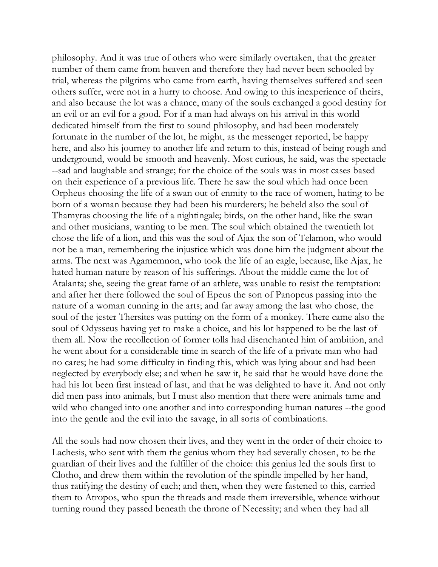philosophy. And it was true of others who were similarly overtaken, that the greater number of them came from heaven and therefore they had never been schooled by trial, whereas the pilgrims who came from earth, having themselves suffered and seen others suffer, were not in a hurry to choose. And owing to this inexperience of theirs, and also because the lot was a chance, many of the souls exchanged a good destiny for an evil or an evil for a good. For if a man had always on his arrival in this world dedicated himself from the first to sound philosophy, and had been moderately fortunate in the number of the lot, he might, as the messenger reported, be happy here, and also his journey to another life and return to this, instead of being rough and underground, would be smooth and heavenly. Most curious, he said, was the spectacle --sad and laughable and strange; for the choice of the souls was in most cases based on their experience of a previous life. There he saw the soul which had once been Orpheus choosing the life of a swan out of enmity to the race of women, hating to be born of a woman because they had been his murderers; he beheld also the soul of Thamyras choosing the life of a nightingale; birds, on the other hand, like the swan and other musicians, wanting to be men. The soul which obtained the twentieth lot chose the life of a lion, and this was the soul of Ajax the son of Telamon, who would not be a man, remembering the injustice which was done him the judgment about the arms. The next was Agamemnon, who took the life of an eagle, because, like Ajax, he hated human nature by reason of his sufferings. About the middle came the lot of Atalanta; she, seeing the great fame of an athlete, was unable to resist the temptation: and after her there followed the soul of Epeus the son of Panopeus passing into the nature of a woman cunning in the arts; and far away among the last who chose, the soul of the jester Thersites was putting on the form of a monkey. There came also the soul of Odysseus having yet to make a choice, and his lot happened to be the last of them all. Now the recollection of former tolls had disenchanted him of ambition, and he went about for a considerable time in search of the life of a private man who had no cares; he had some difficulty in finding this, which was lying about and had been neglected by everybody else; and when he saw it, he said that he would have done the had his lot been first instead of last, and that he was delighted to have it. And not only did men pass into animals, but I must also mention that there were animals tame and wild who changed into one another and into corresponding human natures --the good into the gentle and the evil into the savage, in all sorts of combinations.

All the souls had now chosen their lives, and they went in the order of their choice to Lachesis, who sent with them the genius whom they had severally chosen, to be the guardian of their lives and the fulfiller of the choice: this genius led the souls first to Clotho, and drew them within the revolution of the spindle impelled by her hand, thus ratifying the destiny of each; and then, when they were fastened to this, carried them to Atropos, who spun the threads and made them irreversible, whence without turning round they passed beneath the throne of Necessity; and when they had all